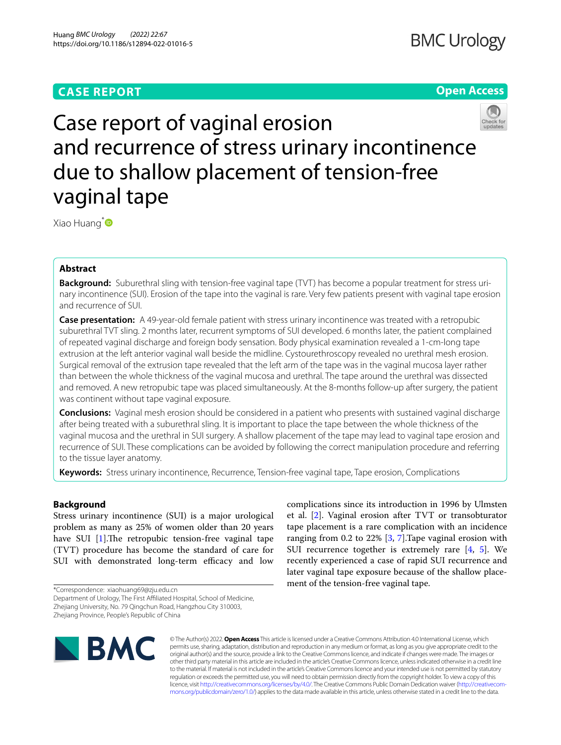# **CASE REPORT**

# **Open Access**



# Case report of vaginal erosion and recurrence of stress urinary incontinence due to shallow placement of tension-free vaginal tape

Xiao Huang<sup>[\\*](http://orcid.org/0000-0002-5201-5031)</sup>

# **Abstract**

**Background:** Suburethral sling with tension-free vaginal tape (TVT) has become a popular treatment for stress urinary incontinence (SUI). Erosion of the tape into the vaginal is rare. Very few patients present with vaginal tape erosion and recurrence of SUI.

**Case presentation:** A 49-year-old female patient with stress urinary incontinence was treated with a retropubic suburethral TVT sling. 2 months later, recurrent symptoms of SUI developed. 6 months later, the patient complained of repeated vaginal discharge and foreign body sensation. Body physical examination revealed a 1-cm-long tape extrusion at the left anterior vaginal wall beside the midline. Cystourethroscopy revealed no urethral mesh erosion. Surgical removal of the extrusion tape revealed that the left arm of the tape was in the vaginal mucosa layer rather than between the whole thickness of the vaginal mucosa and urethral. The tape around the urethral was dissected and removed. A new retropubic tape was placed simultaneously. At the 8-months follow-up after surgery, the patient was continent without tape vaginal exposure.

**Conclusions:** Vaginal mesh erosion should be considered in a patient who presents with sustained vaginal discharge after being treated with a suburethral sling. It is important to place the tape between the whole thickness of the vaginal mucosa and the urethral in SUI surgery. A shallow placement of the tape may lead to vaginal tape erosion and recurrence of SUI. These complications can be avoided by following the correct manipulation procedure and referring to the tissue layer anatomy.

**Keywords:** Stress urinary incontinence, Recurrence, Tension-free vaginal tape, Tape erosion, Complications

# **Background**

Stress urinary incontinence (SUI) is a major urological problem as many as 25% of women older than 20 years have SUI  $[1]$  $[1]$ . The retropubic tension-free vaginal tape (TVT) procedure has become the standard of care for SUI with demonstrated long-term efficacy and low

\*Correspondence: xiaohuang69@zju.edu.cn

Zhejiang Province, People's Republic of China



complications since its introduction in 1996 by Ulmsten et al. [\[2](#page-3-1)]. Vaginal erosion after TVT or transobturator tape placement is a rare complication with an incidence ranging from 0.2 to 22%  $[3, 7]$  $[3, 7]$  $[3, 7]$  $[3, 7]$ . Tape vaginal erosion with SUI recurrence together is extremely rare [[4,](#page-3-4) [5](#page-3-5)]. We recently experienced a case of rapid SUI recurrence and later vaginal tape exposure because of the shallow placement of the tension-free vaginal tape.

© The Author(s) 2022. **Open Access** This article is licensed under a Creative Commons Attribution 4.0 International License, which permits use, sharing, adaptation, distribution and reproduction in any medium or format, as long as you give appropriate credit to the original author(s) and the source, provide a link to the Creative Commons licence, and indicate if changes were made. The images or other third party material in this article are included in the article's Creative Commons licence, unless indicated otherwise in a credit line to the material. If material is not included in the article's Creative Commons licence and your intended use is not permitted by statutory regulation or exceeds the permitted use, you will need to obtain permission directly from the copyright holder. To view a copy of this licence, visit [http://creativecommons.org/licenses/by/4.0/.](http://creativecommons.org/licenses/by/4.0/) The Creative Commons Public Domain Dedication waiver ([http://creativecom](http://creativecommons.org/publicdomain/zero/1.0/)[mons.org/publicdomain/zero/1.0/\)](http://creativecommons.org/publicdomain/zero/1.0/) applies to the data made available in this article, unless otherwise stated in a credit line to the data.

Department of Urology, The First Afliated Hospital, School of Medicine, Zhejiang University, No. 79 Qingchun Road, Hangzhou City 310003,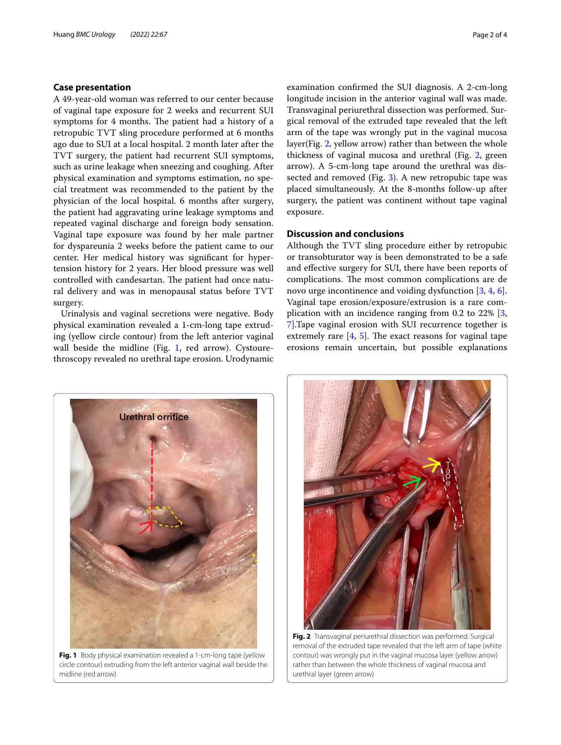# **Case presentation**

A 49-year-old woman was referred to our center because of vaginal tape exposure for 2 weeks and recurrent SUI symptoms for 4 months. The patient had a history of a retropubic TVT sling procedure performed at 6 months ago due to SUI at a local hospital. 2 month later after the TVT surgery, the patient had recurrent SUI symptoms, such as urine leakage when sneezing and coughing. After physical examination and symptoms estimation, no special treatment was recommended to the patient by the physician of the local hospital. 6 months after surgery, the patient had aggravating urine leakage symptoms and repeated vaginal discharge and foreign body sensation. Vaginal tape exposure was found by her male partner for dyspareunia 2 weeks before the patient came to our center. Her medical history was signifcant for hypertension history for 2 years. Her blood pressure was well controlled with candesartan. The patient had once natural delivery and was in menopausal status before TVT surgery.

Urinalysis and vaginal secretions were negative. Body physical examination revealed a 1-cm-long tape extruding (yellow circle contour) from the left anterior vaginal wall beside the midline (Fig. [1,](#page-1-0) red arrow). Cystourethroscopy revealed no urethral tape erosion. Urodynamic

examination confrmed the SUI diagnosis. A 2-cm-long longitude incision in the anterior vaginal wall was made. Transvaginal periurethral dissection was performed. Surgical removal of the extruded tape revealed that the left arm of the tape was wrongly put in the vaginal mucosa layer(Fig. [2,](#page-1-1) yellow arrow) rather than between the whole thickness of vaginal mucosa and urethral (Fig. [2](#page-1-1), green arrow). A 5-cm-long tape around the urethral was dissected and removed (Fig. [3](#page-2-0)). A new retropubic tape was placed simultaneously. At the 8-months follow-up after surgery, the patient was continent without tape vaginal exposure.

# **Discussion and conclusions**

Although the TVT sling procedure either by retropubic or transobturator way is been demonstrated to be a safe and efective surgery for SUI, there have been reports of complications. The most common complications are de novo urge incontinence and voiding dysfunction [[3,](#page-3-2) [4](#page-3-4), [6](#page-3-6)]. Vaginal tape erosion/exposure/extrusion is a rare complication with an incidence ranging from 0.2 to 22% [\[3](#page-3-2), [7\]](#page-3-3).Tape vaginal erosion with SUI recurrence together is extremely rare  $[4, 5]$  $[4, 5]$  $[4, 5]$ . The exact reasons for vaginal tape erosions remain uncertain, but possible explanations



**Fig. 1** Body physical examination revealed a 1-cm-long tape (yellow circle contour) extruding from the left anterior vaginal wall beside the midline (red arrow)



<span id="page-1-1"></span><span id="page-1-0"></span>**Fig. 2** Transvaginal periurethral dissection was performed. Surgical removal of the extruded tape revealed that the left arm of tape (white contour) was wrongly put in the vaginal mucosa layer (yellow arrow) rather than between the whole thickness of vaginal mucosa and urethral layer (green arrow)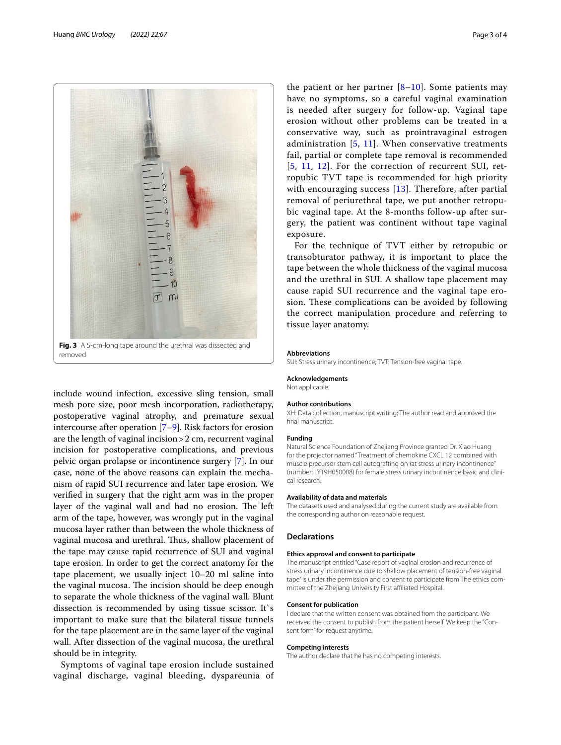

<span id="page-2-0"></span>include wound infection, excessive sling tension, small mesh pore size, poor mesh incorporation, radiotherapy, postoperative vaginal atrophy, and premature sexual intercourse after operation [\[7–](#page-3-3)[9\]](#page-3-7). Risk factors for erosion are the length of vaginal incision>2 cm, recurrent vaginal incision for postoperative complications, and previous pelvic organ prolapse or incontinence surgery [[7](#page-3-3)]. In our case, none of the above reasons can explain the mechanism of rapid SUI recurrence and later tape erosion. We verifed in surgery that the right arm was in the proper layer of the vaginal wall and had no erosion. The left arm of the tape, however, was wrongly put in the vaginal mucosa layer rather than between the whole thickness of vaginal mucosa and urethral. Thus, shallow placement of the tape may cause rapid recurrence of SUI and vaginal tape erosion. In order to get the correct anatomy for the tape placement, we usually inject 10–20 ml saline into the vaginal mucosa. The incision should be deep enough to separate the whole thickness of the vaginal wall. Blunt dissection is recommended by using tissue scissor. It`s important to make sure that the bilateral tissue tunnels for the tape placement are in the same layer of the vaginal wall. After dissection of the vaginal mucosa, the urethral should be in integrity.

Symptoms of vaginal tape erosion include sustained vaginal discharge, vaginal bleeding, dyspareunia of

the patient or her partner  $[8-10]$  $[8-10]$  $[8-10]$ . Some patients may have no symptoms, so a careful vaginal examination is needed after surgery for follow-up. Vaginal tape erosion without other problems can be treated in a conservative way, such as prointravaginal estrogen administration [[5,](#page-3-5) [11](#page-3-10)]. When conservative treatments fail, partial or complete tape removal is recommended [[5](#page-3-5), [11](#page-3-10), [12](#page-3-11)]. For the correction of recurrent SUI, retropubic TVT tape is recommended for high priority with encouraging success [[13\]](#page-3-12). Therefore, after partial removal of periurethral tape, we put another retropubic vaginal tape. At the 8-months follow-up after surgery, the patient was continent without tape vaginal exposure.

For the technique of TVT either by retropubic or transobturator pathway, it is important to place the tape between the whole thickness of the vaginal mucosa and the urethral in SUI. A shallow tape placement may cause rapid SUI recurrence and the vaginal tape erosion. These complications can be avoided by following the correct manipulation procedure and referring to tissue layer anatomy.

#### **Abbreviations**

SUI: Stress urinary incontinence; TVT: Tension-free vaginal tape.

# **Acknowledgements**

Not applicable.

#### **Author contributions**

XH: Data collection, manuscript writing; The author read and approved the fnal manuscript.

#### **Funding**

Natural Science Foundation of Zhejiang Province granted Dr. Xiao Huang for the projector named "Treatment of chemokine CXCL 12 combined with muscle precursor stem cell autografting on rat stress urinary incontinence" (number: LY19H050008) for female stress urinary incontinence basic and clinical research.

# **Availability of data and materials**

The datasets used and analysed during the current study are available from the corresponding author on reasonable request.

# **Declarations**

## **Ethics approval and consent to participate**

The manuscript entitled "Case report of vaginal erosion and recurrence of stress urinary incontinence due to shallow placement of tension-free vaginal tape" is under the permission and consent to participate from The ethics committee of the Zhejiang University First afliated Hospital.

## **Consent for publication**

I declare that the written consent was obtained from the participant. We received the consent to publish from the patient herself. We keep the "Consent form" for request anytime.

## **Competing interests**

The author declare that he has no competing interests.